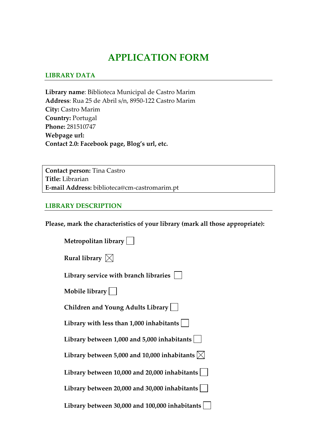# **APPLICATION FORM**

#### **LIBRARY DATA**

**Library name**: Biblioteca Municipal de Castro Marim **Address**: Rua 25 de Abril s/n, 8950‐122 Castro Marim **City:** Castro Marim **Country:** Portugal **Phone:** 281510747 **Webpage url: Contact 2.0: Facebook page, Blog's url, etc.**

**Contact person:** Tina Castro **Title:** Librarian **E‐mail Address:** biblioteca@cm‐castromarim.pt

#### **LIBRARY DESCRIPTION**

**Please, mark the characteristics of your library (mark all those appropriate):**

| Metropolitan library                                    |
|---------------------------------------------------------|
| Rural library $\boxtimes$                               |
| Library service with branch libraries                   |
| Mobile library $  \quad  $                              |
| Children and Young Adults Library                       |
| Library with less than $1,000$ inhabitants $ $          |
| Library between 1,000 and 5,000 inhabitants $ $         |
| Library between 5,000 and 10,000 inhabitants $ \times $ |
| Library between $10,000$ and $20,000$ inhabitants       |
| Library between 20,000 and 30,000 inhabitants $ $       |
| Library between 30,000 and 100,000 inhabitants          |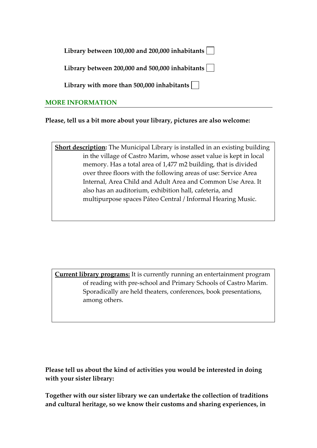| Library between 100,000 and 200,000 inhabitants $ \;\; $ |  |  |  |  |  |
|----------------------------------------------------------|--|--|--|--|--|
|----------------------------------------------------------|--|--|--|--|--|

**Library between 200,000 and 500,000 inhabitants**

**Library with more than 500,000 inhabitants**

### **MORE INFORMATION**

**Please, tell us a bit more about your library, pictures are also welcome:** 

**Short description:** The Municipal Library is installed in an existing building in the village of Castro Marim, whose asset value is kept in local memory. Has a total area of 1,477 m2 building, that is divided over three floors with the following areas of use: Service Area Internal, Area Child and Adult Area and Common Use Area. It also has an auditorium, exhibition hall, cafeteria, and multipurpose spaces Páteo Central / Informal Hearing Music.

**Current library programs:** It is currently running an entertainment program of reading with pre‐school and Primary Schools of Castro Marim. Sporadically are held theaters, conferences, book presentations, among others.

**Please tell us about the kind of activities you would be interested in doing with your sister library:**

**Together with our sister library we can undertake the collection of traditions and cultural heritage, so we know their customs and sharing experiences, in**